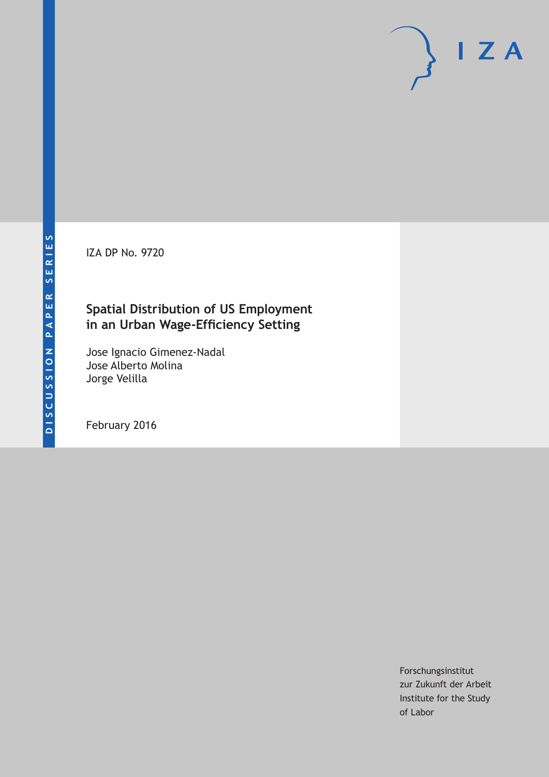IZA DP No. 9720

# **Spatial Distribution of US Employment in an Urban Wage-Efficiency Setting**

Jose Ignacio Gimenez-Nadal Jose Alberto Molina Jorge Velilla

February 2016

Forschungsinstitut zur Zukunft der Arbeit Institute for the Study of Labor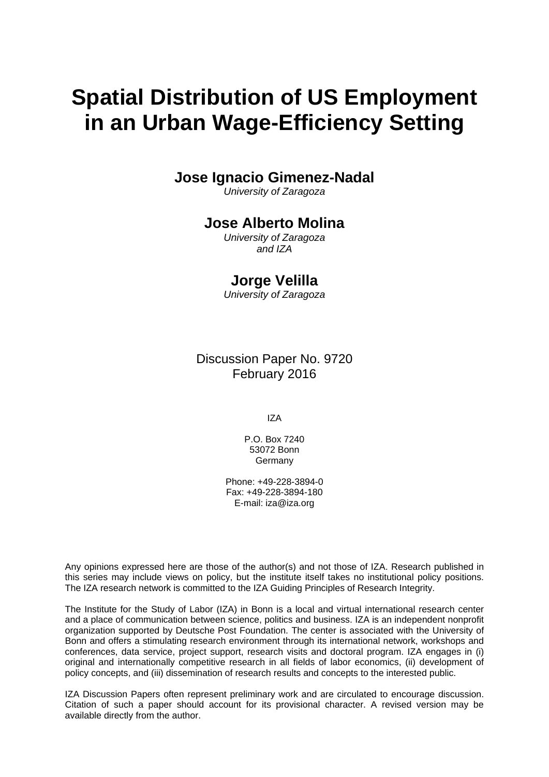# **Spatial Distribution of US Employment in an Urban Wage-Efficiency Setting**

## **Jose Ignacio Gimenez-Nadal**

*University of Zaragoza* 

### **Jose Alberto Molina**

*University of Zaragoza and IZA* 

### **Jorge Velilla**

*University of Zaragoza*

Discussion Paper No. 9720 February 2016

IZA

P.O. Box 7240 53072 Bonn Germany

Phone: +49-228-3894-0 Fax: +49-228-3894-180 E-mail: iza@iza.org

Any opinions expressed here are those of the author(s) and not those of IZA. Research published in this series may include views on policy, but the institute itself takes no institutional policy positions. The IZA research network is committed to the IZA Guiding Principles of Research Integrity.

The Institute for the Study of Labor (IZA) in Bonn is a local and virtual international research center and a place of communication between science, politics and business. IZA is an independent nonprofit organization supported by Deutsche Post Foundation. The center is associated with the University of Bonn and offers a stimulating research environment through its international network, workshops and conferences, data service, project support, research visits and doctoral program. IZA engages in (i) original and internationally competitive research in all fields of labor economics, (ii) development of policy concepts, and (iii) dissemination of research results and concepts to the interested public.

IZA Discussion Papers often represent preliminary work and are circulated to encourage discussion. Citation of such a paper should account for its provisional character. A revised version may be available directly from the author.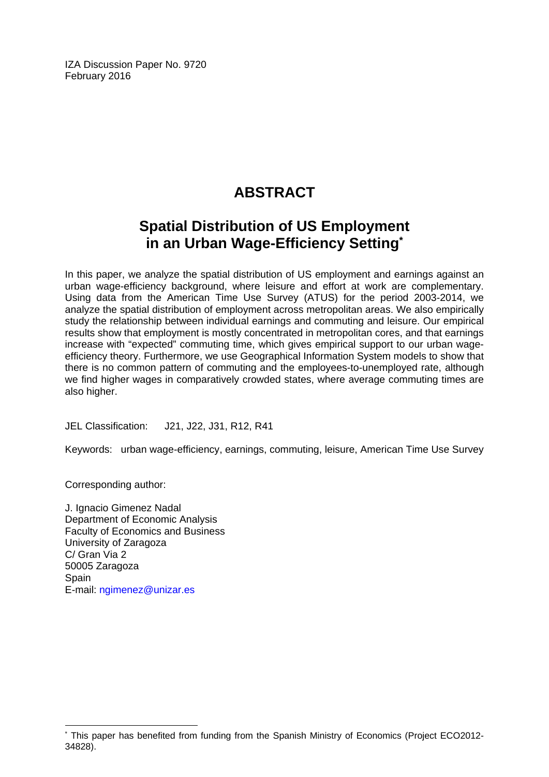IZA Discussion Paper No. 9720 February 2016

# **ABSTRACT**

# **Spatial Distribution of US Employment in an Urban Wage-Efficiency Setting\***

In this paper, we analyze the spatial distribution of US employment and earnings against an urban wage-efficiency background, where leisure and effort at work are complementary. Using data from the American Time Use Survey (ATUS) for the period 2003-2014, we analyze the spatial distribution of employment across metropolitan areas. We also empirically study the relationship between individual earnings and commuting and leisure. Our empirical results show that employment is mostly concentrated in metropolitan cores, and that earnings increase with "expected" commuting time, which gives empirical support to our urban wageefficiency theory. Furthermore, we use Geographical Information System models to show that there is no common pattern of commuting and the employees-to-unemployed rate, although we find higher wages in comparatively crowded states, where average commuting times are also higher.

JEL Classification: J21, J22, J31, R12, R41

Keywords: urban wage-efficiency, earnings, commuting, leisure, American Time Use Survey

Corresponding author:

 $\overline{a}$ 

J. Ignacio Gimenez Nadal Department of Economic Analysis Faculty of Economics and Business University of Zaragoza C/ Gran Via 2 50005 Zaragoza **Spain** E-mail: ngimenez@unizar.es

<sup>\*</sup> This paper has benefited from funding from the Spanish Ministry of Economics (Project ECO2012- 34828).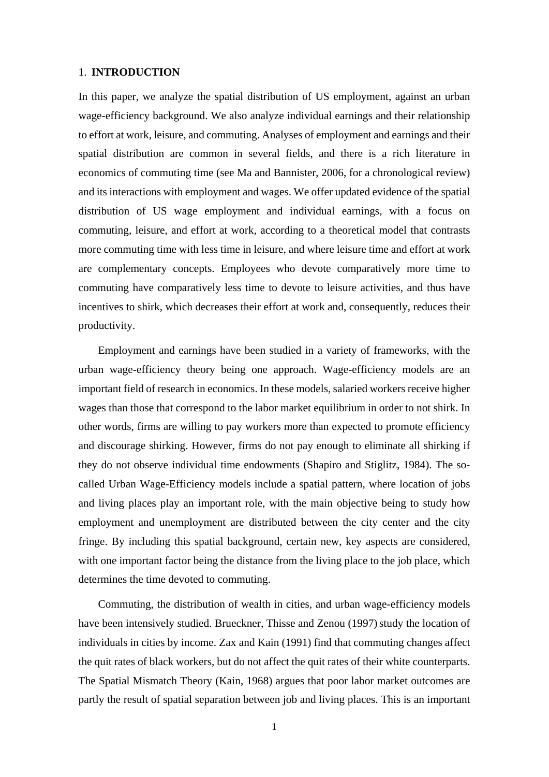#### 1. **INTRODUCTION**

In this paper, we analyze the spatial distribution of US employment, against an urban wage-efficiency background. We also analyze individual earnings and their relationship to effort at work, leisure, and commuting. Analyses of employment and earnings and their spatial distribution are common in several fields, and there is a rich literature in economics of commuting time (see Ma and Bannister, 2006, for a chronological review) and its interactions with employment and wages. We offer updated evidence of the spatial distribution of US wage employment and individual earnings, with a focus on commuting, leisure, and effort at work, according to a theoretical model that contrasts more commuting time with less time in leisure, and where leisure time and effort at work are complementary concepts. Employees who devote comparatively more time to commuting have comparatively less time to devote to leisure activities, and thus have incentives to shirk, which decreases their effort at work and, consequently, reduces their productivity.

Employment and earnings have been studied in a variety of frameworks, with the urban wage-efficiency theory being one approach. Wage-efficiency models are an important field of research in economics. In these models, salaried workers receive higher wages than those that correspond to the labor market equilibrium in order to not shirk. In other words, firms are willing to pay workers more than expected to promote efficiency and discourage shirking. However, firms do not pay enough to eliminate all shirking if they do not observe individual time endowments (Shapiro and Stiglitz, 1984). The socalled Urban Wage-Efficiency models include a spatial pattern, where location of jobs and living places play an important role, with the main objective being to study how employment and unemployment are distributed between the city center and the city fringe. By including this spatial background, certain new, key aspects are considered, with one important factor being the distance from the living place to the job place, which determines the time devoted to commuting.

Commuting, the distribution of wealth in cities, and urban wage-efficiency models have been intensively studied. Brueckner, Thisse and Zenou (1997) study the location of individuals in cities by income. Zax and Kain (1991) find that commuting changes affect the quit rates of black workers, but do not affect the quit rates of their white counterparts. The Spatial Mismatch Theory (Kain, 1968) argues that poor labor market outcomes are partly the result of spatial separation between job and living places. This is an important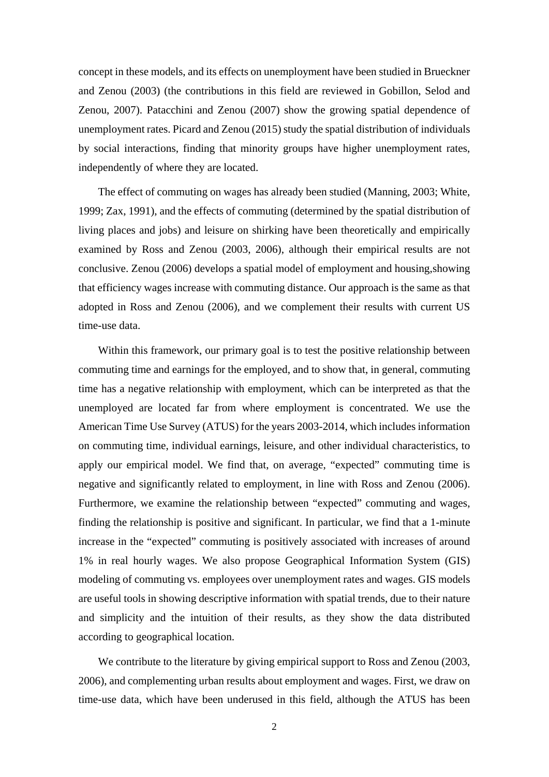concept in these models, and its effects on unemployment have been studied in Brueckner and Zenou (2003) (the contributions in this field are reviewed in Gobillon, Selod and Zenou, 2007). Patacchini and Zenou (2007) show the growing spatial dependence of unemployment rates. Picard and Zenou (2015) study the spatial distribution of individuals by social interactions, finding that minority groups have higher unemployment rates, independently of where they are located.

The effect of commuting on wages has already been studied (Manning, 2003; White, 1999; Zax, 1991), and the effects of commuting (determined by the spatial distribution of living places and jobs) and leisure on shirking have been theoretically and empirically examined by Ross and Zenou (2003, 2006), although their empirical results are not conclusive. Zenou (2006) develops a spatial model of employment and housing,showing that efficiency wages increase with commuting distance. Our approach is the same as that adopted in Ross and Zenou (2006), and we complement their results with current US time-use data.

Within this framework, our primary goal is to test the positive relationship between commuting time and earnings for the employed, and to show that, in general, commuting time has a negative relationship with employment, which can be interpreted as that the unemployed are located far from where employment is concentrated. We use the American Time Use Survey (ATUS) for the years 2003-2014, which includes information on commuting time, individual earnings, leisure, and other individual characteristics, to apply our empirical model. We find that, on average, "expected" commuting time is negative and significantly related to employment, in line with Ross and Zenou (2006). Furthermore, we examine the relationship between "expected" commuting and wages, finding the relationship is positive and significant. In particular, we find that a 1-minute increase in the "expected" commuting is positively associated with increases of around 1% in real hourly wages. We also propose Geographical Information System (GIS) modeling of commuting vs. employees over unemployment rates and wages. GIS models are useful tools in showing descriptive information with spatial trends, due to their nature and simplicity and the intuition of their results, as they show the data distributed according to geographical location.

We contribute to the literature by giving empirical support to Ross and Zenou (2003, 2006), and complementing urban results about employment and wages. First, we draw on time-use data, which have been underused in this field, although the ATUS has been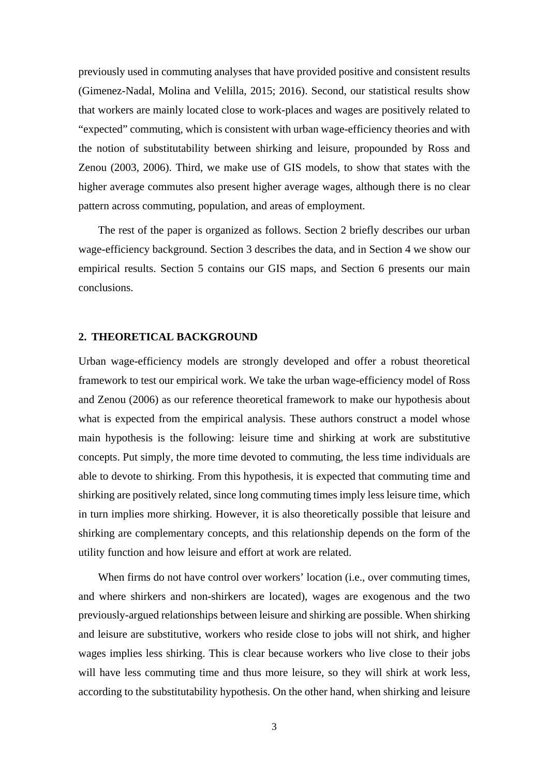previously used in commuting analyses that have provided positive and consistent results (Gimenez-Nadal, Molina and Velilla, 2015; 2016). Second, our statistical results show that workers are mainly located close to work-places and wages are positively related to "expected" commuting, which is consistent with urban wage-efficiency theories and with the notion of substitutability between shirking and leisure, propounded by Ross and Zenou (2003, 2006). Third, we make use of GIS models, to show that states with the higher average commutes also present higher average wages, although there is no clear pattern across commuting, population, and areas of employment.

The rest of the paper is organized as follows. Section 2 briefly describes our urban wage-efficiency background. Section 3 describes the data, and in Section 4 we show our empirical results. Section 5 contains our GIS maps, and Section 6 presents our main conclusions.

#### **2. THEORETICAL BACKGROUND**

Urban wage-efficiency models are strongly developed and offer a robust theoretical framework to test our empirical work. We take the urban wage-efficiency model of Ross and Zenou (2006) as our reference theoretical framework to make our hypothesis about what is expected from the empirical analysis. These authors construct a model whose main hypothesis is the following: leisure time and shirking at work are substitutive concepts. Put simply, the more time devoted to commuting, the less time individuals are able to devote to shirking. From this hypothesis, it is expected that commuting time and shirking are positively related, since long commuting times imply less leisure time, which in turn implies more shirking. However, it is also theoretically possible that leisure and shirking are complementary concepts, and this relationship depends on the form of the utility function and how leisure and effort at work are related.

When firms do not have control over workers' location (i.e., over commuting times, and where shirkers and non-shirkers are located), wages are exogenous and the two previously-argued relationships between leisure and shirking are possible. When shirking and leisure are substitutive, workers who reside close to jobs will not shirk, and higher wages implies less shirking. This is clear because workers who live close to their jobs will have less commuting time and thus more leisure, so they will shirk at work less, according to the substitutability hypothesis. On the other hand, when shirking and leisure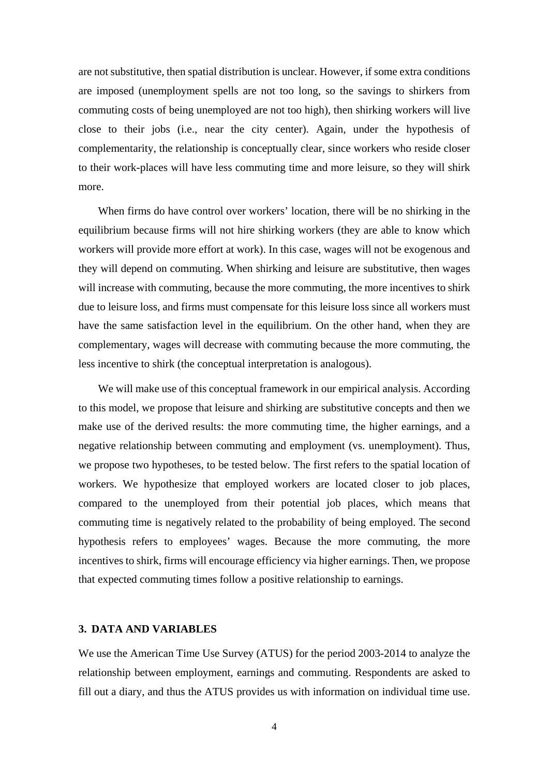are not substitutive, then spatial distribution is unclear. However, if some extra conditions are imposed (unemployment spells are not too long, so the savings to shirkers from commuting costs of being unemployed are not too high), then shirking workers will live close to their jobs (i.e., near the city center). Again, under the hypothesis of complementarity, the relationship is conceptually clear, since workers who reside closer to their work-places will have less commuting time and more leisure, so they will shirk more.

When firms do have control over workers' location, there will be no shirking in the equilibrium because firms will not hire shirking workers (they are able to know which workers will provide more effort at work). In this case, wages will not be exogenous and they will depend on commuting. When shirking and leisure are substitutive, then wages will increase with commuting, because the more commuting, the more incentives to shirk due to leisure loss, and firms must compensate for this leisure loss since all workers must have the same satisfaction level in the equilibrium. On the other hand, when they are complementary, wages will decrease with commuting because the more commuting, the less incentive to shirk (the conceptual interpretation is analogous).

We will make use of this conceptual framework in our empirical analysis. According to this model, we propose that leisure and shirking are substitutive concepts and then we make use of the derived results: the more commuting time, the higher earnings, and a negative relationship between commuting and employment (vs. unemployment). Thus, we propose two hypotheses, to be tested below. The first refers to the spatial location of workers. We hypothesize that employed workers are located closer to job places, compared to the unemployed from their potential job places, which means that commuting time is negatively related to the probability of being employed. The second hypothesis refers to employees' wages. Because the more commuting, the more incentives to shirk, firms will encourage efficiency via higher earnings. Then, we propose that expected commuting times follow a positive relationship to earnings.

#### **3. DATA AND VARIABLES**

We use the American Time Use Survey (ATUS) for the period 2003-2014 to analyze the relationship between employment, earnings and commuting. Respondents are asked to fill out a diary, and thus the ATUS provides us with information on individual time use.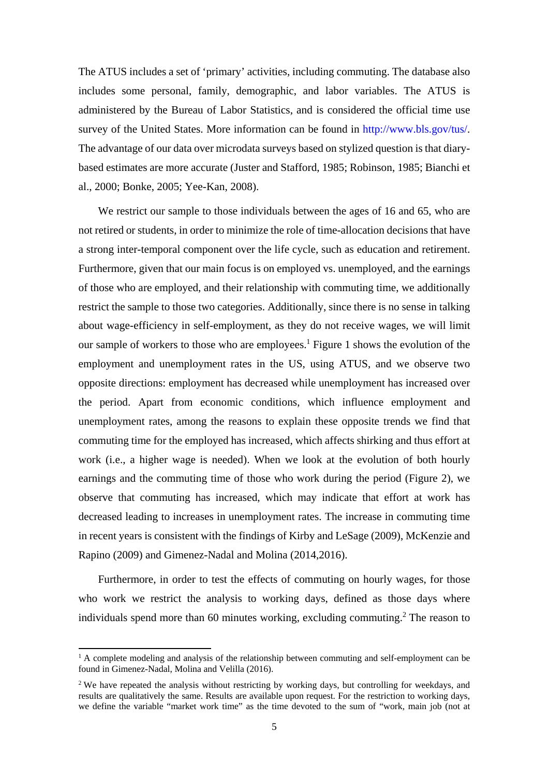The ATUS includes a set of 'primary' activities, including commuting. The database also includes some personal, family, demographic, and labor variables. The ATUS is administered by the Bureau of Labor Statistics, and is considered the official time use survey of the United States. More information can be found in http://www.bls.gov/tus/. The advantage of our data over microdata surveys based on stylized question is that diarybased estimates are more accurate (Juster and Stafford, 1985; Robinson, 1985; Bianchi et al., 2000; Bonke, 2005; Yee-Kan, 2008).

We restrict our sample to those individuals between the ages of 16 and 65, who are not retired or students, in order to minimize the role of time-allocation decisions that have a strong inter-temporal component over the life cycle, such as education and retirement. Furthermore, given that our main focus is on employed vs. unemployed, and the earnings of those who are employed, and their relationship with commuting time, we additionally restrict the sample to those two categories. Additionally, since there is no sense in talking about wage-efficiency in self-employment, as they do not receive wages, we will limit our sample of workers to those who are employees.<sup>1</sup> Figure 1 shows the evolution of the employment and unemployment rates in the US, using ATUS, and we observe two opposite directions: employment has decreased while unemployment has increased over the period. Apart from economic conditions, which influence employment and unemployment rates, among the reasons to explain these opposite trends we find that commuting time for the employed has increased, which affects shirking and thus effort at work (i.e., a higher wage is needed). When we look at the evolution of both hourly earnings and the commuting time of those who work during the period (Figure 2), we observe that commuting has increased, which may indicate that effort at work has decreased leading to increases in unemployment rates. The increase in commuting time in recent years is consistent with the findings of Kirby and LeSage (2009), McKenzie and Rapino (2009) and Gimenez-Nadal and Molina (2014,2016).

Furthermore, in order to test the effects of commuting on hourly wages, for those who work we restrict the analysis to working days, defined as those days where individuals spend more than 60 minutes working, excluding commuting.<sup>2</sup> The reason to

<sup>&</sup>lt;sup>1</sup> A complete modeling and analysis of the relationship between commuting and self-employment can be found in Gimenez-Nadal, Molina and Velilla (2016).

<sup>&</sup>lt;sup>2</sup> We have repeated the analysis without restricting by working days, but controlling for weekdays, and results are qualitatively the same. Results are available upon request. For the restriction to working days, we define the variable "market work time" as the time devoted to the sum of "work, main job (not at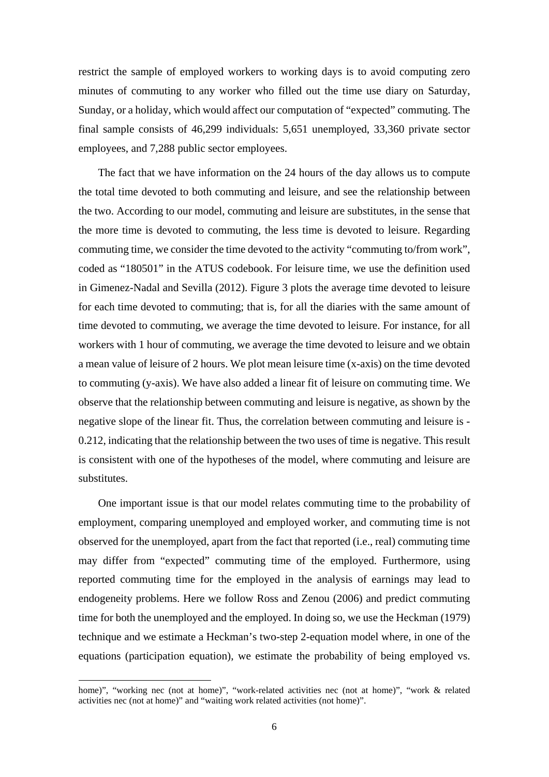restrict the sample of employed workers to working days is to avoid computing zero minutes of commuting to any worker who filled out the time use diary on Saturday, Sunday, or a holiday, which would affect our computation of "expected" commuting. The final sample consists of 46,299 individuals: 5,651 unemployed, 33,360 private sector employees, and 7,288 public sector employees.

The fact that we have information on the 24 hours of the day allows us to compute the total time devoted to both commuting and leisure, and see the relationship between the two. According to our model, commuting and leisure are substitutes, in the sense that the more time is devoted to commuting, the less time is devoted to leisure. Regarding commuting time, we consider the time devoted to the activity "commuting to/from work", coded as "180501" in the ATUS codebook. For leisure time, we use the definition used in Gimenez-Nadal and Sevilla (2012). Figure 3 plots the average time devoted to leisure for each time devoted to commuting; that is, for all the diaries with the same amount of time devoted to commuting, we average the time devoted to leisure. For instance, for all workers with 1 hour of commuting, we average the time devoted to leisure and we obtain a mean value of leisure of 2 hours. We plot mean leisure time (x-axis) on the time devoted to commuting (y-axis). We have also added a linear fit of leisure on commuting time. We observe that the relationship between commuting and leisure is negative, as shown by the negative slope of the linear fit. Thus, the correlation between commuting and leisure is - 0.212, indicating that the relationship between the two uses of time is negative. This result is consistent with one of the hypotheses of the model, where commuting and leisure are substitutes.

One important issue is that our model relates commuting time to the probability of employment, comparing unemployed and employed worker, and commuting time is not observed for the unemployed, apart from the fact that reported (i.e., real) commuting time may differ from "expected" commuting time of the employed. Furthermore, using reported commuting time for the employed in the analysis of earnings may lead to endogeneity problems. Here we follow Ross and Zenou (2006) and predict commuting time for both the unemployed and the employed. In doing so, we use the Heckman (1979) technique and we estimate a Heckman's two-step 2-equation model where, in one of the equations (participation equation), we estimate the probability of being employed vs.

home)", "working nec (not at home)", "work-related activities nec (not at home)", "work & related activities nec (not at home)" and "waiting work related activities (not home)".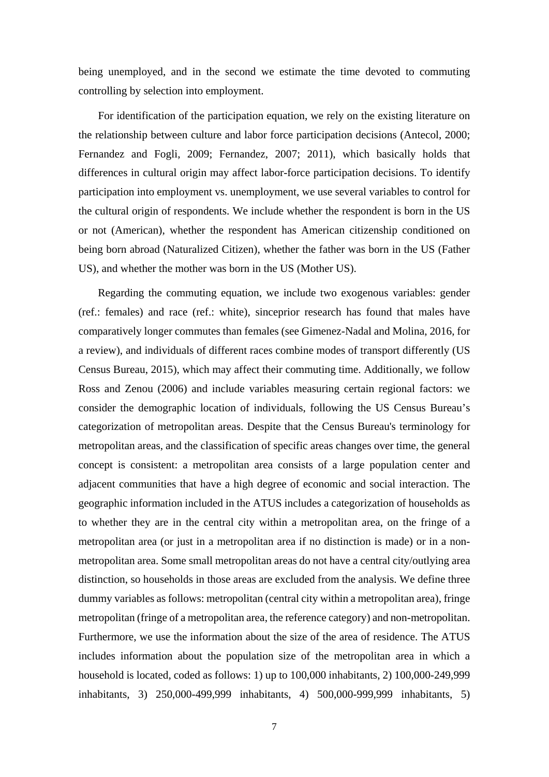being unemployed, and in the second we estimate the time devoted to commuting controlling by selection into employment.

For identification of the participation equation, we rely on the existing literature on the relationship between culture and labor force participation decisions (Antecol, 2000; Fernandez and Fogli, 2009; Fernandez, 2007; 2011), which basically holds that differences in cultural origin may affect labor-force participation decisions. To identify participation into employment vs. unemployment, we use several variables to control for the cultural origin of respondents. We include whether the respondent is born in the US or not (American), whether the respondent has American citizenship conditioned on being born abroad (Naturalized Citizen), whether the father was born in the US (Father US), and whether the mother was born in the US (Mother US).

Regarding the commuting equation, we include two exogenous variables: gender (ref.: females) and race (ref.: white), sinceprior research has found that males have comparatively longer commutes than females (see Gimenez-Nadal and Molina, 2016, for a review), and individuals of different races combine modes of transport differently (US Census Bureau, 2015), which may affect their commuting time. Additionally, we follow Ross and Zenou (2006) and include variables measuring certain regional factors: we consider the demographic location of individuals, following the US Census Bureau's categorization of metropolitan areas. Despite that the Census Bureau's terminology for metropolitan areas, and the classification of specific areas changes over time, the general concept is consistent: a metropolitan area consists of a large population center and adjacent communities that have a high degree of economic and social interaction. The geographic information included in the ATUS includes a categorization of households as to whether they are in the central city within a metropolitan area, on the fringe of a metropolitan area (or just in a metropolitan area if no distinction is made) or in a nonmetropolitan area. Some small metropolitan areas do not have a central city/outlying area distinction, so households in those areas are excluded from the analysis. We define three dummy variables as follows: metropolitan (central city within a metropolitan area), fringe metropolitan (fringe of a metropolitan area, the reference category) and non-metropolitan. Furthermore, we use the information about the size of the area of residence. The ATUS includes information about the population size of the metropolitan area in which a household is located, coded as follows: 1) up to 100,000 inhabitants, 2) 100,000-249,999 inhabitants, 3) 250,000-499,999 inhabitants, 4) 500,000-999,999 inhabitants, 5)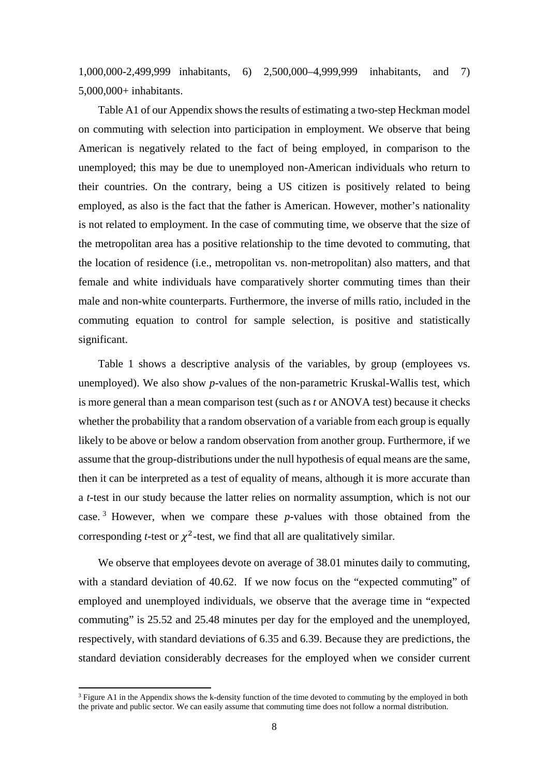1,000,000-2,499,999 inhabitants, 6) 2,500,000–4,999,999 inhabitants, and 7) 5,000,000+ inhabitants.

Table A1 of our Appendix shows the results of estimating a two-step Heckman model on commuting with selection into participation in employment. We observe that being American is negatively related to the fact of being employed, in comparison to the unemployed; this may be due to unemployed non-American individuals who return to their countries. On the contrary, being a US citizen is positively related to being employed, as also is the fact that the father is American. However, mother's nationality is not related to employment. In the case of commuting time, we observe that the size of the metropolitan area has a positive relationship to the time devoted to commuting, that the location of residence (i.e., metropolitan vs. non-metropolitan) also matters, and that female and white individuals have comparatively shorter commuting times than their male and non-white counterparts. Furthermore, the inverse of mills ratio, included in the commuting equation to control for sample selection, is positive and statistically significant.

Table 1 shows a descriptive analysis of the variables, by group (employees vs. unemployed). We also show *p*-values of the non-parametric Kruskal-Wallis test, which is more general than a mean comparison test (such as *t* or ANOVA test) because it checks whether the probability that a random observation of a variable from each group is equally likely to be above or below a random observation from another group. Furthermore, if we assume that the group-distributions under the null hypothesis of equal means are the same, then it can be interpreted as a test of equality of means, although it is more accurate than a *t*-test in our study because the latter relies on normality assumption, which is not our case. 3 However, when we compare these *p-*values with those obtained from the corresponding *t*-test or  $\chi^2$ -test, we find that all are qualitatively similar.

We observe that employees devote on average of 38.01 minutes daily to commuting, with a standard deviation of 40.62. If we now focus on the "expected commuting" of employed and unemployed individuals, we observe that the average time in "expected commuting" is 25.52 and 25.48 minutes per day for the employed and the unemployed, respectively, with standard deviations of 6.35 and 6.39. Because they are predictions, the standard deviation considerably decreases for the employed when we consider current

 $3$  Figure A1 in the Appendix shows the k-density function of the time devoted to commuting by the employed in both the private and public sector. We can easily assume that commuting time does not follow a normal distribution.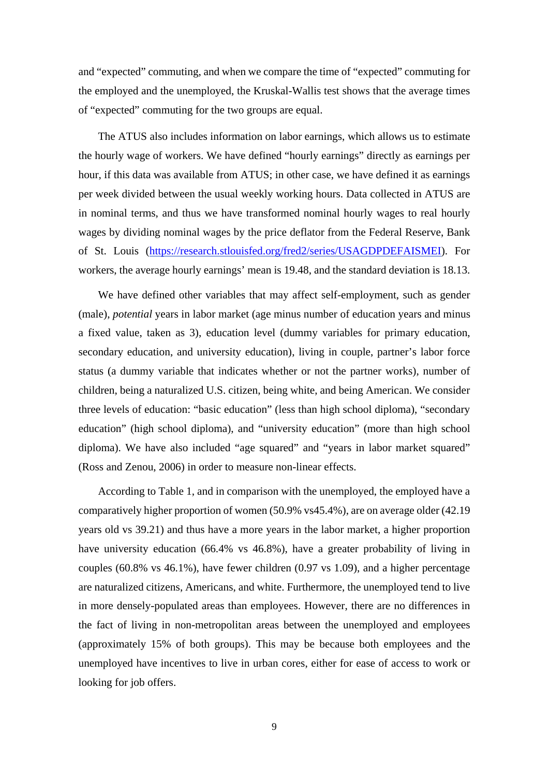and "expected" commuting, and when we compare the time of "expected" commuting for the employed and the unemployed, the Kruskal-Wallis test shows that the average times of "expected" commuting for the two groups are equal.

The ATUS also includes information on labor earnings, which allows us to estimate the hourly wage of workers. We have defined "hourly earnings" directly as earnings per hour, if this data was available from ATUS; in other case, we have defined it as earnings per week divided between the usual weekly working hours. Data collected in ATUS are in nominal terms, and thus we have transformed nominal hourly wages to real hourly wages by dividing nominal wages by the price deflator from the Federal Reserve, Bank of St. Louis (https://research.stlouisfed.org/fred2/series/USAGDPDEFAISMEI). For workers, the average hourly earnings' mean is 19.48, and the standard deviation is 18.13.

We have defined other variables that may affect self-employment, such as gender (male), *potential* years in labor market (age minus number of education years and minus a fixed value, taken as 3), education level (dummy variables for primary education, secondary education, and university education), living in couple, partner's labor force status (a dummy variable that indicates whether or not the partner works), number of children, being a naturalized U.S. citizen, being white, and being American. We consider three levels of education: "basic education" (less than high school diploma), "secondary education" (high school diploma), and "university education" (more than high school diploma). We have also included "age squared" and "years in labor market squared" (Ross and Zenou, 2006) in order to measure non-linear effects.

According to Table 1, and in comparison with the unemployed, the employed have a comparatively higher proportion of women (50.9% vs45.4%), are on average older (42.19 years old vs 39.21) and thus have a more years in the labor market, a higher proportion have university education (66.4% vs 46.8%), have a greater probability of living in couples (60.8% vs 46.1%), have fewer children (0.97 vs 1.09), and a higher percentage are naturalized citizens, Americans, and white. Furthermore, the unemployed tend to live in more densely-populated areas than employees. However, there are no differences in the fact of living in non-metropolitan areas between the unemployed and employees (approximately 15% of both groups). This may be because both employees and the unemployed have incentives to live in urban cores, either for ease of access to work or looking for job offers.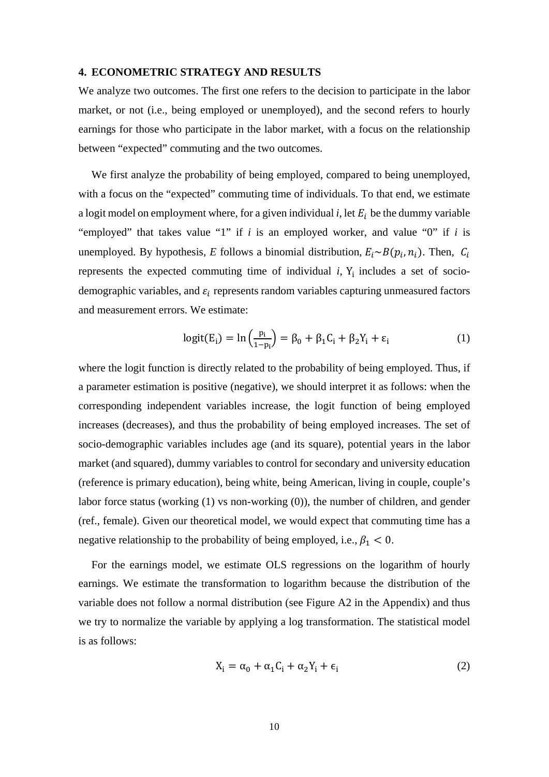#### **4. ECONOMETRIC STRATEGY AND RESULTS**

We analyze two outcomes. The first one refers to the decision to participate in the labor market, or not (i.e., being employed or unemployed), and the second refers to hourly earnings for those who participate in the labor market, with a focus on the relationship between "expected" commuting and the two outcomes.

We first analyze the probability of being employed, compared to being unemployed, with a focus on the "expected" commuting time of individuals. To that end, we estimate a logit model on employment where, for a given individual  $i$ , let  $E_i$  be the dummy variable "employed" that takes value "1" if *i* is an employed worker, and value "0" if *i* is unemployed. By hypothesis, *E* follows a binomial distribution,  $E_i \sim B(p_i, n_i)$ . Then,  $C_i$ represents the expected commuting time of individual  $i$ ,  $Y_i$  includes a set of sociodemographic variables, and  $\varepsilon_i$  represents random variables capturing unmeasured factors and measurement errors. We estimate:

$$
logit(E_i) = ln\left(\frac{p_i}{1-p_i}\right) = \beta_0 + \beta_1 C_i + \beta_2 Y_i + \varepsilon_i
$$
 (1)

where the logit function is directly related to the probability of being employed. Thus, if a parameter estimation is positive (negative), we should interpret it as follows: when the corresponding independent variables increase, the logit function of being employed increases (decreases), and thus the probability of being employed increases. The set of socio-demographic variables includes age (and its square), potential years in the labor market (and squared), dummy variables to control for secondary and university education (reference is primary education), being white, being American, living in couple, couple's labor force status (working (1) vs non-working (0)), the number of children, and gender (ref., female). Given our theoretical model, we would expect that commuting time has a negative relationship to the probability of being employed, i.e.,  $\beta_1 < 0$ .

For the earnings model, we estimate OLS regressions on the logarithm of hourly earnings. We estimate the transformation to logarithm because the distribution of the variable does not follow a normal distribution (see Figure A2 in the Appendix) and thus we try to normalize the variable by applying a log transformation. The statistical model is as follows:

$$
X_i = \alpha_0 + \alpha_1 C_i + \alpha_2 Y_i + \epsilon_i \tag{2}
$$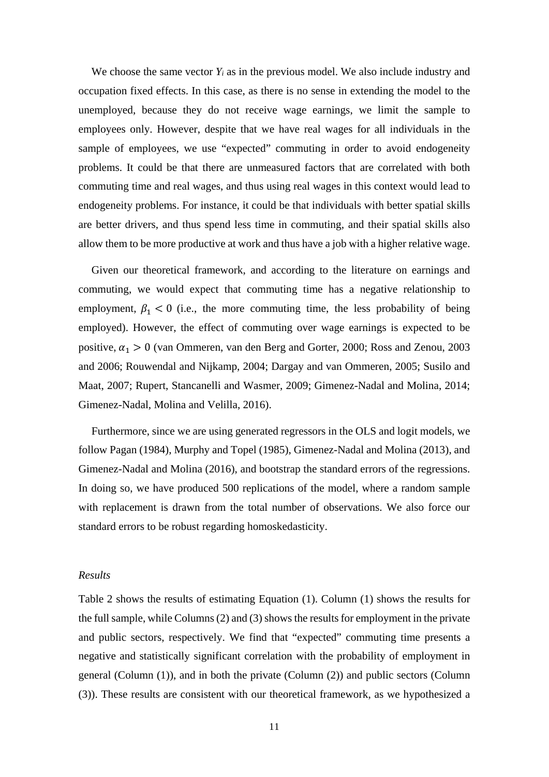We choose the same vector  $Y_i$  as in the previous model. We also include industry and occupation fixed effects. In this case, as there is no sense in extending the model to the unemployed, because they do not receive wage earnings, we limit the sample to employees only. However, despite that we have real wages for all individuals in the sample of employees, we use "expected" commuting in order to avoid endogeneity problems. It could be that there are unmeasured factors that are correlated with both commuting time and real wages, and thus using real wages in this context would lead to endogeneity problems. For instance, it could be that individuals with better spatial skills are better drivers, and thus spend less time in commuting, and their spatial skills also allow them to be more productive at work and thus have a job with a higher relative wage.

Given our theoretical framework, and according to the literature on earnings and commuting, we would expect that commuting time has a negative relationship to employment,  $\beta_1$  < 0 (i.e., the more commuting time, the less probability of being employed). However, the effect of commuting over wage earnings is expected to be positive,  $\alpha_1 > 0$  (van Ommeren, van den Berg and Gorter, 2000; Ross and Zenou, 2003 and 2006; Rouwendal and Nijkamp, 2004; Dargay and van Ommeren, 2005; Susilo and Maat, 2007; Rupert, Stancanelli and Wasmer, 2009; Gimenez-Nadal and Molina, 2014; Gimenez-Nadal, Molina and Velilla, 2016).

Furthermore, since we are using generated regressors in the OLS and logit models, we follow Pagan (1984), Murphy and Topel (1985), Gimenez-Nadal and Molina (2013), and Gimenez-Nadal and Molina (2016), and bootstrap the standard errors of the regressions. In doing so, we have produced 500 replications of the model, where a random sample with replacement is drawn from the total number of observations. We also force our standard errors to be robust regarding homoskedasticity.

#### *Results*

Table 2 shows the results of estimating Equation (1). Column (1) shows the results for the full sample, while Columns (2) and (3) shows the results for employment in the private and public sectors, respectively. We find that "expected" commuting time presents a negative and statistically significant correlation with the probability of employment in general (Column (1)), and in both the private (Column (2)) and public sectors (Column (3)). These results are consistent with our theoretical framework, as we hypothesized a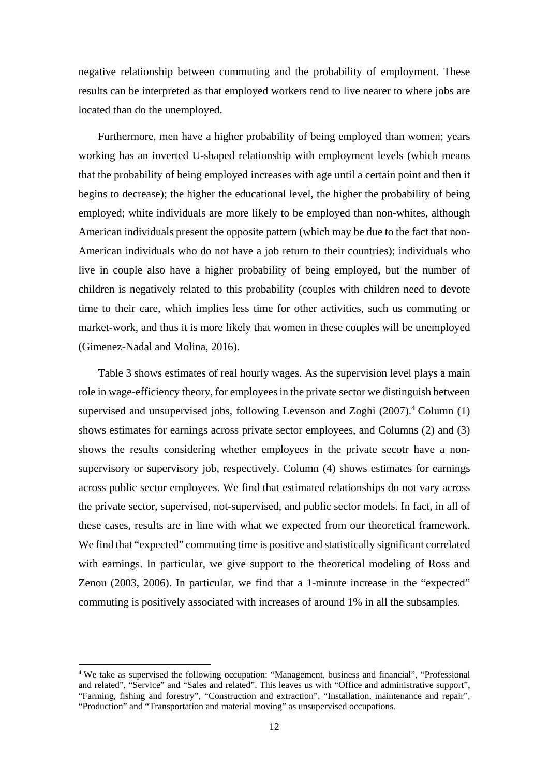negative relationship between commuting and the probability of employment. These results can be interpreted as that employed workers tend to live nearer to where jobs are located than do the unemployed.

Furthermore, men have a higher probability of being employed than women; years working has an inverted U-shaped relationship with employment levels (which means that the probability of being employed increases with age until a certain point and then it begins to decrease); the higher the educational level, the higher the probability of being employed; white individuals are more likely to be employed than non-whites, although American individuals present the opposite pattern (which may be due to the fact that non-American individuals who do not have a job return to their countries); individuals who live in couple also have a higher probability of being employed, but the number of children is negatively related to this probability (couples with children need to devote time to their care, which implies less time for other activities, such us commuting or market-work, and thus it is more likely that women in these couples will be unemployed (Gimenez-Nadal and Molina, 2016).

Table 3 shows estimates of real hourly wages. As the supervision level plays a main role in wage-efficiency theory, for employees in the private sector we distinguish between supervised and unsupervised jobs, following Levenson and Zoghi (2007).<sup>4</sup> Column (1) shows estimates for earnings across private sector employees, and Columns (2) and (3) shows the results considering whether employees in the private secotr have a nonsupervisory or supervisory job, respectively. Column (4) shows estimates for earnings across public sector employees. We find that estimated relationships do not vary across the private sector, supervised, not-supervised, and public sector models. In fact, in all of these cases, results are in line with what we expected from our theoretical framework. We find that "expected" commuting time is positive and statistically significant correlated with earnings. In particular, we give support to the theoretical modeling of Ross and Zenou (2003, 2006). In particular, we find that a 1-minute increase in the "expected" commuting is positively associated with increases of around 1% in all the subsamples.

<sup>&</sup>lt;sup>4</sup> We take as supervised the following occupation: "Management, business and financial", "Professional and related", "Service" and "Sales and related". This leaves us with "Office and administrative support", "Farming, fishing and forestry", "Construction and extraction", "Installation, maintenance and repair", "Production" and "Transportation and material moving" as unsupervised occupations.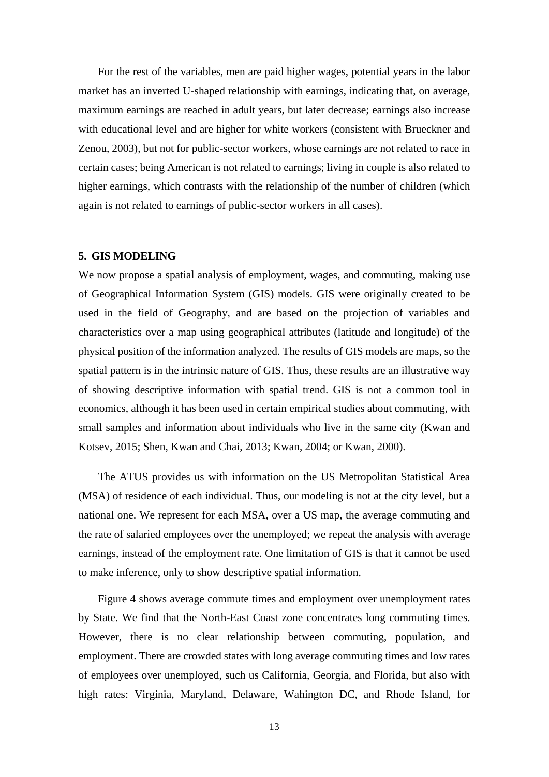For the rest of the variables, men are paid higher wages, potential years in the labor market has an inverted U-shaped relationship with earnings, indicating that, on average, maximum earnings are reached in adult years, but later decrease; earnings also increase with educational level and are higher for white workers (consistent with Brueckner and Zenou, 2003), but not for public-sector workers, whose earnings are not related to race in certain cases; being American is not related to earnings; living in couple is also related to higher earnings, which contrasts with the relationship of the number of children (which again is not related to earnings of public-sector workers in all cases).

#### **5. GIS MODELING**

We now propose a spatial analysis of employment, wages, and commuting, making use of Geographical Information System (GIS) models. GIS were originally created to be used in the field of Geography, and are based on the projection of variables and characteristics over a map using geographical attributes (latitude and longitude) of the physical position of the information analyzed. The results of GIS models are maps, so the spatial pattern is in the intrinsic nature of GIS. Thus, these results are an illustrative way of showing descriptive information with spatial trend. GIS is not a common tool in economics, although it has been used in certain empirical studies about commuting, with small samples and information about individuals who live in the same city (Kwan and Kotsev, 2015; Shen, Kwan and Chai, 2013; Kwan, 2004; or Kwan, 2000).

The ATUS provides us with information on the US Metropolitan Statistical Area (MSA) of residence of each individual. Thus, our modeling is not at the city level, but a national one. We represent for each MSA, over a US map, the average commuting and the rate of salaried employees over the unemployed; we repeat the analysis with average earnings, instead of the employment rate. One limitation of GIS is that it cannot be used to make inference, only to show descriptive spatial information.

Figure 4 shows average commute times and employment over unemployment rates by State. We find that the North-East Coast zone concentrates long commuting times. However, there is no clear relationship between commuting, population, and employment. There are crowded states with long average commuting times and low rates of employees over unemployed, such us California, Georgia, and Florida, but also with high rates: Virginia, Maryland, Delaware, Wahington DC, and Rhode Island, for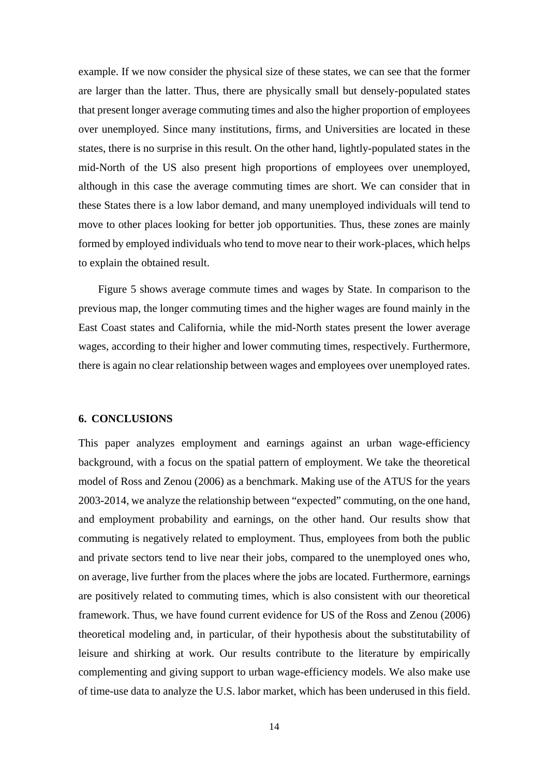example. If we now consider the physical size of these states, we can see that the former are larger than the latter. Thus, there are physically small but densely-populated states that present longer average commuting times and also the higher proportion of employees over unemployed. Since many institutions, firms, and Universities are located in these states, there is no surprise in this result. On the other hand, lightly-populated states in the mid-North of the US also present high proportions of employees over unemployed, although in this case the average commuting times are short. We can consider that in these States there is a low labor demand, and many unemployed individuals will tend to move to other places looking for better job opportunities. Thus, these zones are mainly formed by employed individuals who tend to move near to their work-places, which helps to explain the obtained result.

Figure 5 shows average commute times and wages by State. In comparison to the previous map, the longer commuting times and the higher wages are found mainly in the East Coast states and California, while the mid-North states present the lower average wages, according to their higher and lower commuting times, respectively. Furthermore, there is again no clear relationship between wages and employees over unemployed rates.

#### **6. CONCLUSIONS**

This paper analyzes employment and earnings against an urban wage-efficiency background, with a focus on the spatial pattern of employment. We take the theoretical model of Ross and Zenou (2006) as a benchmark. Making use of the ATUS for the years 2003-2014, we analyze the relationship between "expected" commuting, on the one hand, and employment probability and earnings, on the other hand. Our results show that commuting is negatively related to employment. Thus, employees from both the public and private sectors tend to live near their jobs, compared to the unemployed ones who, on average, live further from the places where the jobs are located. Furthermore, earnings are positively related to commuting times, which is also consistent with our theoretical framework. Thus, we have found current evidence for US of the Ross and Zenou (2006) theoretical modeling and, in particular, of their hypothesis about the substitutability of leisure and shirking at work. Our results contribute to the literature by empirically complementing and giving support to urban wage-efficiency models. We also make use of time-use data to analyze the U.S. labor market, which has been underused in this field.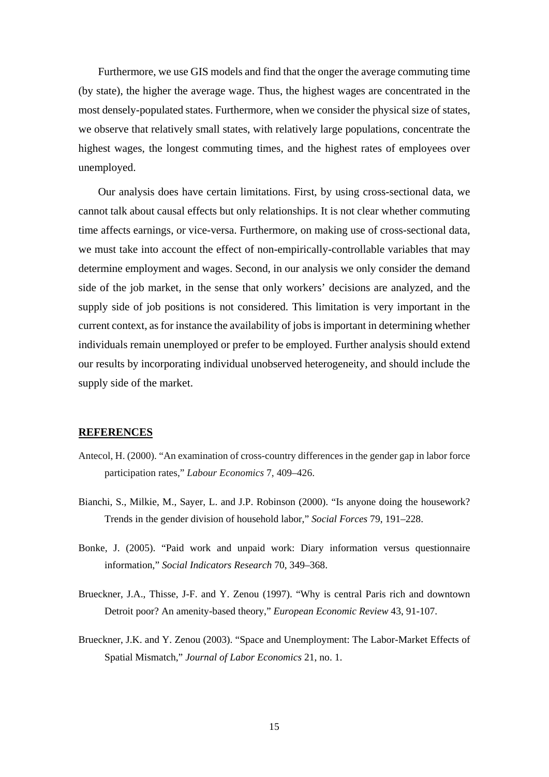Furthermore, we use GIS models and find that the onger the average commuting time (by state), the higher the average wage. Thus, the highest wages are concentrated in the most densely-populated states. Furthermore, when we consider the physical size of states, we observe that relatively small states, with relatively large populations, concentrate the highest wages, the longest commuting times, and the highest rates of employees over unemployed.

Our analysis does have certain limitations. First, by using cross-sectional data, we cannot talk about causal effects but only relationships. It is not clear whether commuting time affects earnings, or vice-versa. Furthermore, on making use of cross-sectional data, we must take into account the effect of non-empirically-controllable variables that may determine employment and wages. Second, in our analysis we only consider the demand side of the job market, in the sense that only workers' decisions are analyzed, and the supply side of job positions is not considered. This limitation is very important in the current context, as for instance the availability of jobs is important in determining whether individuals remain unemployed or prefer to be employed. Further analysis should extend our results by incorporating individual unobserved heterogeneity, and should include the supply side of the market.

#### **REFERENCES**

- Antecol, H. (2000). "An examination of cross-country differences in the gender gap in labor force participation rates," *Labour Economics* 7, 409–426.
- Bianchi, S., Milkie, M., Sayer, L. and J.P. Robinson (2000). "Is anyone doing the housework? Trends in the gender division of household labor," *Social Forces* 79, 191–228.
- Bonke, J. (2005). "Paid work and unpaid work: Diary information versus questionnaire information," *Social Indicators Research* 70, 349–368.
- Brueckner, J.A., Thisse, J-F. and Y. Zenou (1997). "Why is central Paris rich and downtown Detroit poor? An amenity-based theory," *European Economic Review* 43, 91-107.
- Brueckner, J.K. and Y. Zenou (2003). "Space and Unemployment: The Labor-Market Effects of Spatial Mismatch," *Journal of Labor Economics* 21, no. 1.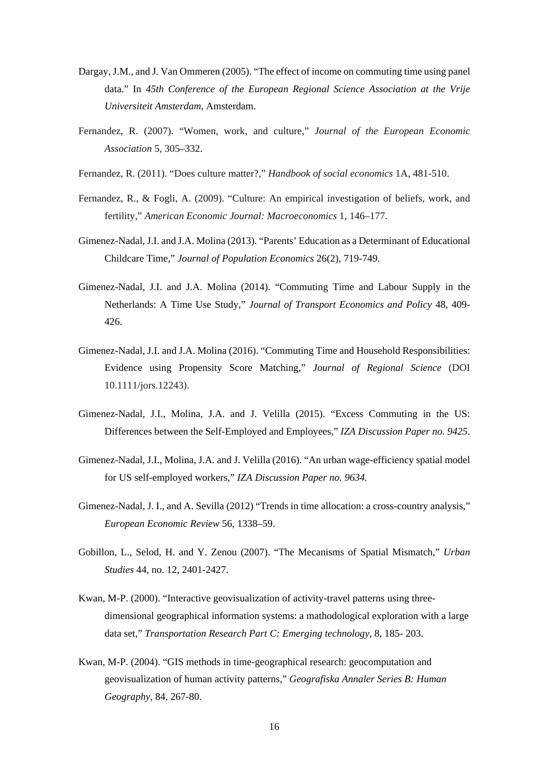- Dargay, J.M., and J. Van Ommeren (2005). "The effect of income on commuting time using panel data." In *45th Conference of the European Regional Science Association at the Vrije Universiteit Amsterdam*, Amsterdam.
- Fernandez, R. (2007). "Women, work, and culture," *Journal of the European Economic Association* 5, 305–332.
- Fernandez, R. (2011). "Does culture matter?," *Handbook of social economics* 1A, 481-510.
- Fernandez, R., & Fogli, A. (2009). "Culture: An empirical investigation of beliefs, work, and fertility," *American Economic Journal: Macroeconomics* 1, 146–177.
- Gimenez-Nadal, J.I. and J.A. Molina (2013). "Parents' Education as a Determinant of Educational Childcare Time," *Journal of Population Economics* 26(2), 719-749.
- Gimenez-Nadal, J.I. and J.A. Molina (2014). "Commuting Time and Labour Supply in the Netherlands: A Time Use Study," *Journal of Transport Economics and Policy* 48, 409- 426.
- Gimenez-Nadal, J.I. and J.A. Molina (2016). "Commuting Time and Household Responsibilities: Evidence using Propensity Score Matching," *Journal of Regional Science* (DOI 10.1111/jors.12243).
- Gimenez-Nadal, J.I., Molina, J.A. and J. Velilla (2015). "Excess Commuting in the US: Differences between the Self-Employed and Employees," *IZA Discussion Paper no. 9425.*
- Gimenez-Nadal, J.I., Molina, J.A. and J. Velilla (2016). "An urban wage-efficiency spatial model for US self-employed workers," *IZA Discussion Paper no. 9634.*
- Gimenez-Nadal, J. I., and A. Sevilla (2012) "Trends in time allocation: a cross-country analysis," *European Economic Review* 56, 1338–59.
- Gobillon, L., Selod, H. and Y. Zenou (2007). "The Mecanisms of Spatial Mismatch," *Urban Studies* 44, no. 12, 2401-2427.
- Kwan, M-P. (2000). "Interactive geovisualization of activity-travel patterns using threedimensional geographical information systems: a mathodological exploration with a large data set," *Transportation Research Part C: Emerging technology*, 8, 185- 203.
- Kwan, M-P. (2004). "GIS methods in time-geographical research: geocomputation and geovisualization of human activity patterns," *Geografiska Annaler Series B: Human Geography*, 84, 267-80.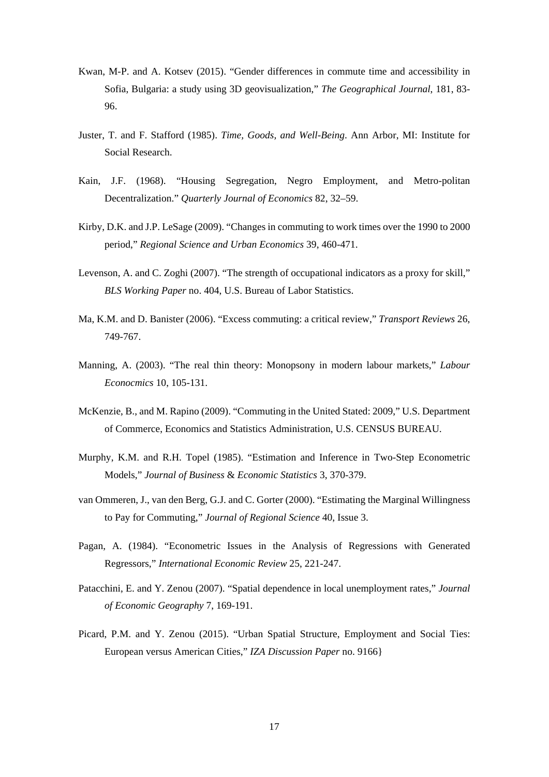- Kwan, M-P. and A. Kotsev (2015). "Gender differences in commute time and accessibility in Sofia, Bulgaria: a study using 3D geovisualization," *The Geographical Journal*, 181, 83- 96.
- Juster, T. and F. Stafford (1985). *Time, Goods, and Well-Being*. Ann Arbor, MI: Institute for Social Research.
- Kain, J.F. (1968). "Housing Segregation, Negro Employment, and Metro-politan Decentralization." *Quarterly Journal of Economics* 82, 32–59.
- Kirby, D.K. and J.P. LeSage (2009). "Changes in commuting to work times over the 1990 to 2000 period," *Regional Science and Urban Economics* 39, 460-471.
- Levenson, A. and C. Zoghi (2007). "The strength of occupational indicators as a proxy for skill," *BLS Working Paper* no. 404, U.S. Bureau of Labor Statistics.
- Ma, K.M. and D. Banister (2006). "Excess commuting: a critical review," *Transport Reviews* 26, 749-767.
- Manning, A. (2003). "The real thin theory: Monopsony in modern labour markets," *Labour Econocmics* 10, 105-131.
- McKenzie, B., and M. Rapino (2009). "Commuting in the United Stated: 2009," U.S. Department of Commerce, Economics and Statistics Administration, U.S. CENSUS BUREAU.
- Murphy, K.M. and R.H. Topel (1985). "Estimation and Inference in Two-Step Econometric Models," *Journal of Business* & *Economic Statistics* 3, 370-379.
- van Ommeren, J., van den Berg, G.J. and C. Gorter (2000). "Estimating the Marginal Willingness to Pay for Commuting," *Journal of Regional Science* 40, Issue 3.
- Pagan, A. (1984). "Econometric Issues in the Analysis of Regressions with Generated Regressors," *International Economic Review* 25, 221-247.
- Patacchini, E. and Y. Zenou (2007). "Spatial dependence in local unemployment rates," *Journal of Economic Geography* 7, 169-191.
- Picard, P.M. and Y. Zenou (2015). "Urban Spatial Structure, Employment and Social Ties: European versus American Cities," *IZA Discussion Paper* no. 9166}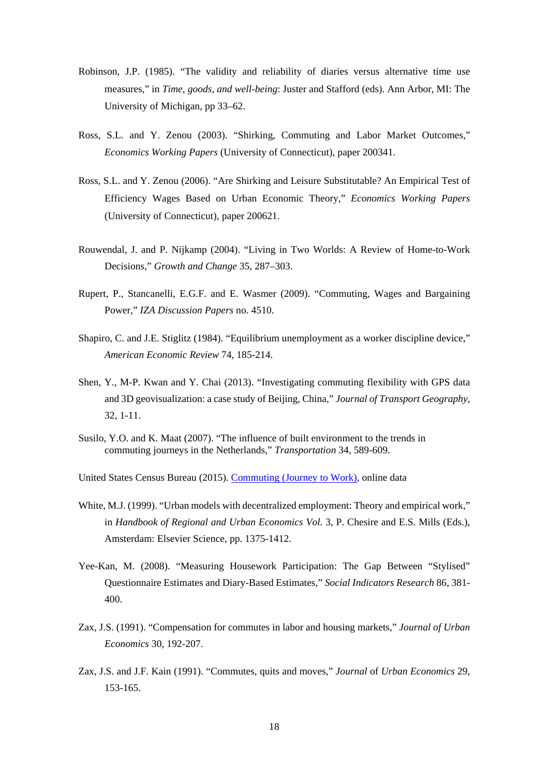- Robinson, J.P. (1985). "The validity and reliability of diaries versus alternative time use measures," in *Time, goods, and well-being*: Juster and Stafford (eds). Ann Arbor, MI: The University of Michigan, pp 33–62.
- Ross, S.L. and Y. Zenou (2003). "Shirking, Commuting and Labor Market Outcomes," *Economics Working Papers* (University of Connecticut), paper 200341.
- Ross, S.L. and Y. Zenou (2006). "Are Shirking and Leisure Substitutable? An Empirical Test of Efficiency Wages Based on Urban Economic Theory," *Economics Working Papers*  (University of Connecticut), paper 200621.
- Rouwendal, J. and P. Nijkamp (2004). "Living in Two Worlds: A Review of Home-to-Work Decisions," *Growth and Change* 35, 287–303.
- Rupert, P., Stancanelli, E.G.F. and E. Wasmer (2009). "Commuting, Wages and Bargaining Power," *IZA Discussion Papers* no. 4510.
- Shapiro, C. and J.E. Stiglitz (1984). "Equilibrium unemployment as a worker discipline device," *American Economic Review* 74, 185-214.
- Shen, Y., M-P. Kwan and Y. Chai (2013). "Investigating commuting flexibility with GPS data and 3D geovisualization: a case study of Beijing, China," *Journal of Transport Geography*, 32, 1-11.
- Susilo, Y.O. and K. Maat (2007). "The influence of built environment to the trends in commuting journeys in the Netherlands," *Transportation* 34, 589-609.
- United States Census Bureau (2015). Commuting (Journey to Work), online data
- White, M.J. (1999). "Urban models with decentralized employment: Theory and empirical work." in *Handbook of Regional and Urban Economics Vol.* 3, P. Chesire and E.S. Mills (Eds.), Amsterdam: Elsevier Science, pp. 1375-1412.
- Yee-Kan, M. (2008). "Measuring Housework Participation: The Gap Between "Stylised" Questionnaire Estimates and Diary-Based Estimates," *Social Indicators Research* 86, 381- 400.
- Zax, J.S. (1991). "Compensation for commutes in labor and housing markets," *Journal of Urban Economics* 30, 192-207.
- Zax, J.S. and J.F. Kain (1991). "Commutes, quits and moves," *Journal* of *Urban Economics* 29, 153-165.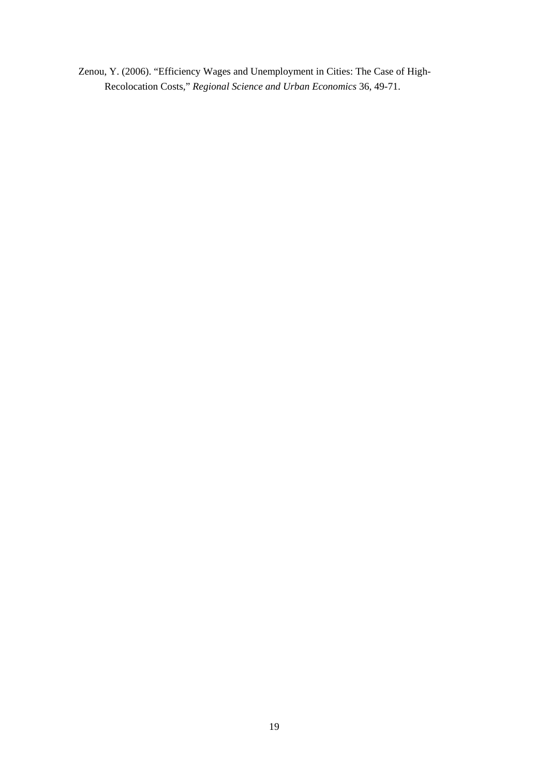Zenou, Y. (2006). "Efficiency Wages and Unemployment in Cities: The Case of High-Recolocation Costs," *Regional Science and Urban Economics* 36, 49-71.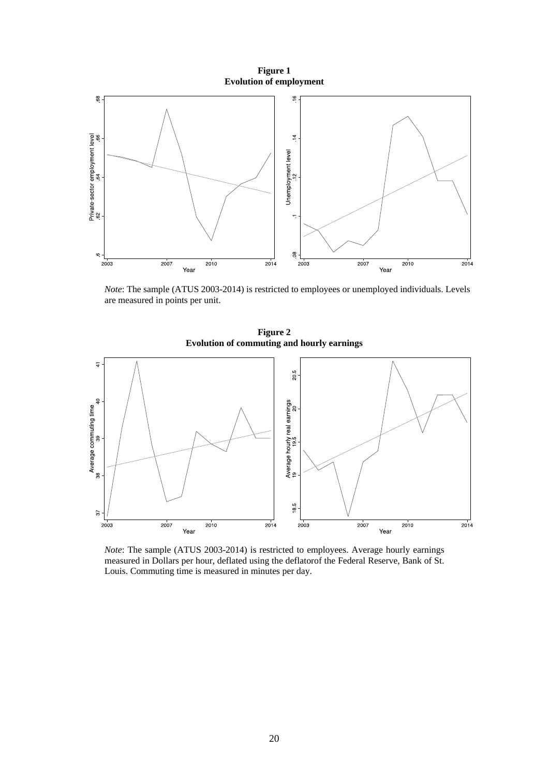**Figure 1 Evolution of employment** 



*Note*: The sample (ATUS 2003-2014) is restricted to employees or unemployed individuals. Levels are measured in points per unit.

**Figure 2 Evolution of commuting and hourly earnings** 



*Note*: The sample (ATUS 2003-2014) is restricted to employees. Average hourly earnings measured in Dollars per hour, deflated using the deflatorof the Federal Reserve, Bank of St. Louis. Commuting time is measured in minutes per day.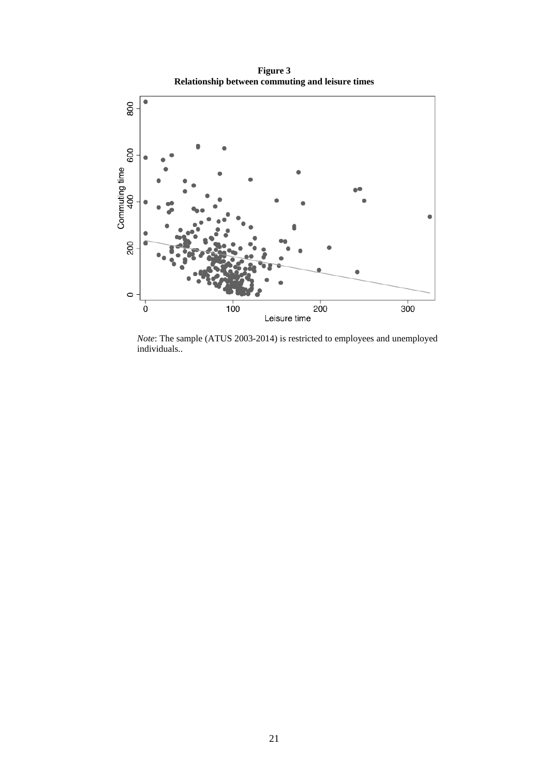**Figure 3 Relationship between commuting and leisure times** 



*Note*: The sample (ATUS 2003-2014) is restricted to employees and unemployed individuals..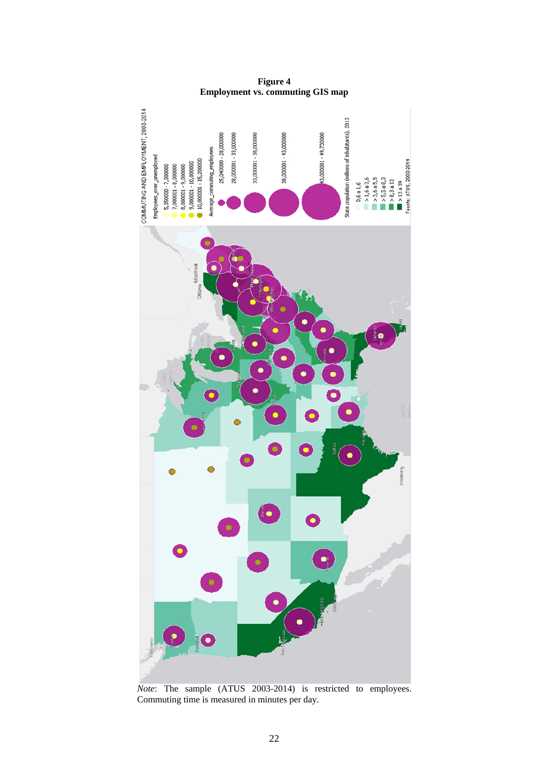

**Figure 4 Employment vs. commuting GIS map** 

*Note*: The sample (ATUS 2003-2014) is restricted to employees. Commuting time is measured in minutes per day.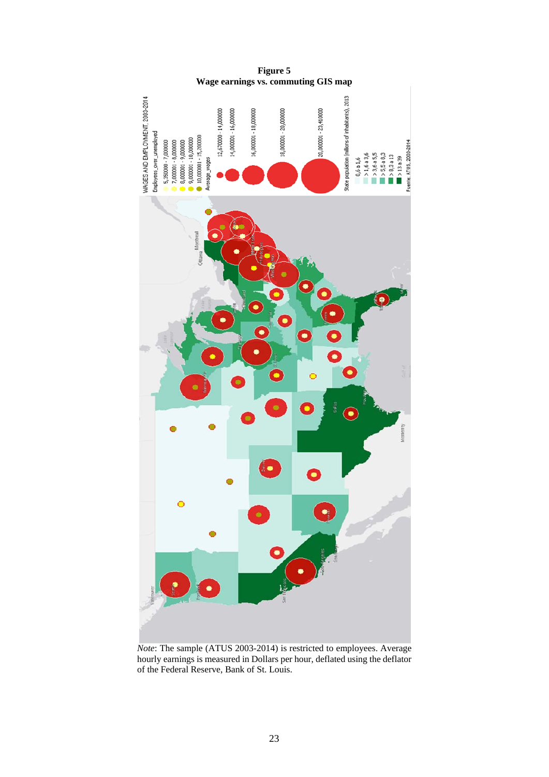

*Note*: The sample (ATUS 2003-2014) is restricted to employees. Average hourly earnings is measured in Dollars per hour, deflated using the deflator of the Federal Reserve, Bank of St. Louis.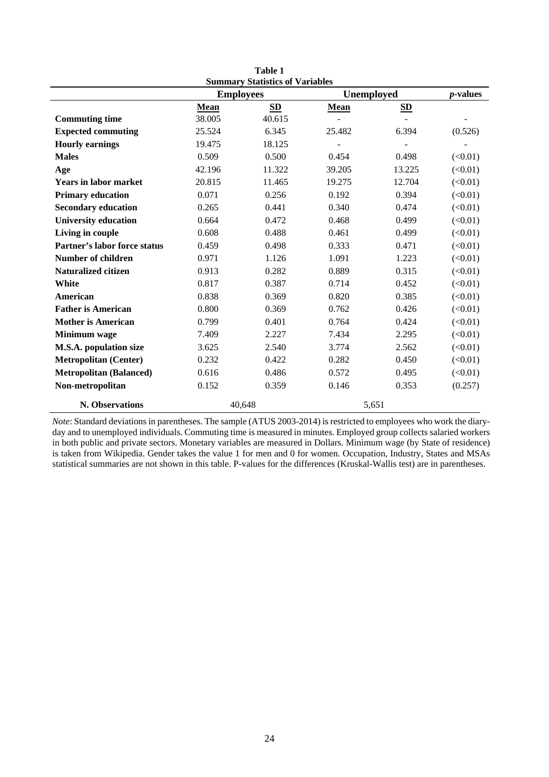|                                     |        | Summary Statistics of Variables |             |                |                  |
|-------------------------------------|--------|---------------------------------|-------------|----------------|------------------|
|                                     |        | <b>Employees</b><br>Unemployed  |             |                | <i>p</i> -values |
|                                     | Mean   | <b>SD</b>                       | <b>Mean</b> | SD             |                  |
| <b>Commuting time</b>               | 38.005 | 40.615                          |             | $\overline{a}$ |                  |
| <b>Expected commuting</b>           | 25.524 | 6.345                           | 25.482      | 6.394          | (0.526)          |
| <b>Hourly earnings</b>              | 19.475 | 18.125                          |             |                |                  |
| <b>Males</b>                        | 0.509  | 0.500                           | 0.454       | 0.498          | (<0.01)          |
| Age                                 | 42.196 | 11.322                          | 39.205      | 13.225         | (<0.01)          |
| <b>Years in labor market</b>        | 20.815 | 11.465                          | 19.275      | 12.704         | (<0.01)          |
| <b>Primary education</b>            | 0.071  | 0.256                           | 0.192       | 0.394          | (<0.01)          |
| <b>Secondary education</b>          | 0.265  | 0.441                           | 0.340       | 0.474          | (<0.01)          |
| <b>University education</b>         | 0.664  | 0.472                           | 0.468       | 0.499          | (<0.01)          |
| Living in couple                    | 0.608  | 0.488                           | 0.461       | 0.499          | (<0.01)          |
| <b>Partner's labor force status</b> | 0.459  | 0.498                           | 0.333       | 0.471          | (<0.01)          |
| <b>Number of children</b>           | 0.971  | 1.126                           | 1.091       | 1.223          | (<0.01)          |
| <b>Naturalized citizen</b>          | 0.913  | 0.282                           | 0.889       | 0.315          | (<0.01)          |
| White                               | 0.817  | 0.387                           | 0.714       | 0.452          | (<0.01)          |
| American                            | 0.838  | 0.369                           | 0.820       | 0.385          | (<0.01)          |
| <b>Father is American</b>           | 0.800  | 0.369                           | 0.762       | 0.426          | (<0.01)          |
| <b>Mother is American</b>           | 0.799  | 0.401                           | 0.764       | 0.424          | (<0.01)          |
| <b>Minimum</b> wage                 | 7.409  | 2.227                           | 7.434       | 2.295          | (<0.01)          |
| <b>M.S.A.</b> population size       | 3.625  | 2.540                           | 3.774       | 2.562          | (<0.01)          |
| <b>Metropolitan (Center)</b>        | 0.232  | 0.422                           | 0.282       | 0.450          | (<0.01)          |
| <b>Metropolitan (Balanced)</b>      | 0.616  | 0.486                           | 0.572       | 0.495          | (<0.01)          |
| Non-metropolitan                    | 0.152  | 0.359                           | 0.146       | 0.353          | (0.257)          |
| N. Observations                     |        | 40,648                          |             | 5,651          |                  |

**Table 1 Summary Statistics of Variables** 

*Note*: Standard deviations in parentheses. The sample (ATUS 2003-2014) is restricted to employees who work the diaryday and to unemployed individuals. Commuting time is measured in minutes. Employed group collects salaried workers in both public and private sectors. Monetary variables are measured in Dollars. Minimum wage (by State of residence) is taken from Wikipedia. Gender takes the value 1 for men and 0 for women. Occupation, Industry, States and MSAs statistical summaries are not shown in this table. P-values for the differences (Kruskal-Wallis test) are in parentheses.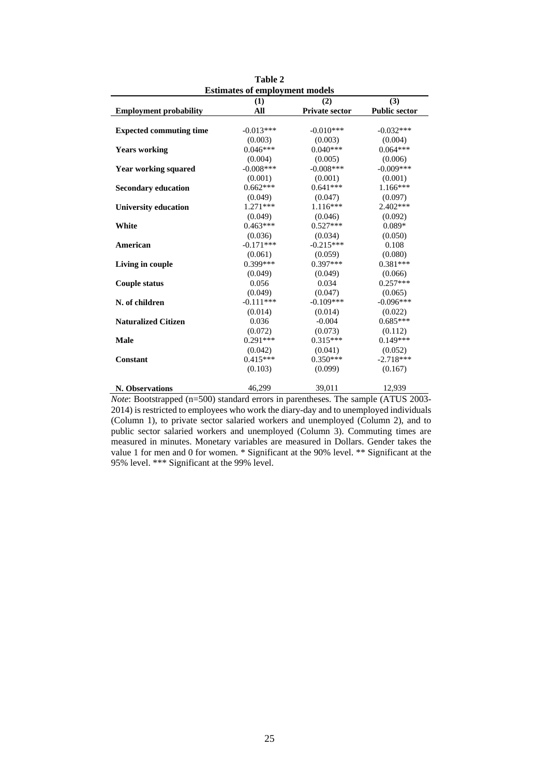| <b>Estimates of employment models</b> |             |                       |                      |
|---------------------------------------|-------------|-----------------------|----------------------|
|                                       | (1)         | (2)                   | (3)                  |
| <b>Employment probability</b>         | All         | <b>Private sector</b> | <b>Public sector</b> |
|                                       |             |                       |                      |
| <b>Expected commuting time</b>        | $-0.013***$ | $-0.010***$           | $-0.032***$          |
|                                       | (0.003)     | (0.003)               | (0.004)              |
| <b>Years working</b>                  | $0.046***$  | $0.040***$            | $0.064***$           |
|                                       | (0.004)     | (0.005)               | (0.006)              |
| <b>Year working squared</b>           | $-0.008***$ | $-0.008***$           | $-0.009***$          |
|                                       | (0.001)     | (0.001)               | (0.001)              |
| <b>Secondary education</b>            | $0.662***$  | $0.641***$            | $1.166***$           |
|                                       | (0.049)     | (0.047)               | (0.097)              |
| <b>University education</b>           | $1.271***$  | $1.116***$            | $2.402***$           |
|                                       | (0.049)     | (0.046)               | (0.092)              |
| White                                 | $0.463***$  | $0.527***$            | $0.089*$             |
|                                       | (0.036)     | (0.034)               | (0.050)              |
| American                              | $-0.171***$ | $-0.215***$           | 0.108                |
|                                       | (0.061)     | (0.059)               | (0.080)              |
| Living in couple                      | $0.399***$  | $0.397***$            | $0.381***$           |
|                                       | (0.049)     | (0.049)               | (0.066)              |
| <b>Couple status</b>                  | 0.056       | 0.034                 | $0.257***$           |
|                                       | (0.049)     | (0.047)               | (0.065)              |
| N. of children                        | $-0.111***$ | $-0.109***$           | $-0.096***$          |
|                                       | (0.014)     | (0.014)               | (0.022)              |
| <b>Naturalized Citizen</b>            | 0.036       | $-0.004$              | $0.685***$           |
|                                       | (0.072)     | (0.073)               | (0.112)              |
| <b>Male</b>                           | $0.291***$  | $0.315***$            | $0.149***$           |
|                                       | (0.042)     | (0.041)               | (0.052)              |
| <b>Constant</b>                       | $0.415***$  | $0.350***$            | $-2.718***$          |
|                                       | (0.103)     | (0.099)               | (0.167)              |
| N. Observations                       | 46,299      | 39.011                | 12,939               |

**Table 2** 

*Note*: Bootstrapped (n=500) standard errors in parentheses. The sample (ATUS 2003-2014) is restricted to employees who work the diary-day and to unemployed individuals (Column 1), to private sector salaried workers and unemployed (Column 2), and to public sector salaried workers and unemployed (Column 3). Commuting times are measured in minutes. Monetary variables are measured in Dollars. Gender takes the value 1 for men and 0 for women. \* Significant at the 90% level. \*\* Significant at the 95% level. \*\*\* Significant at the 99% level.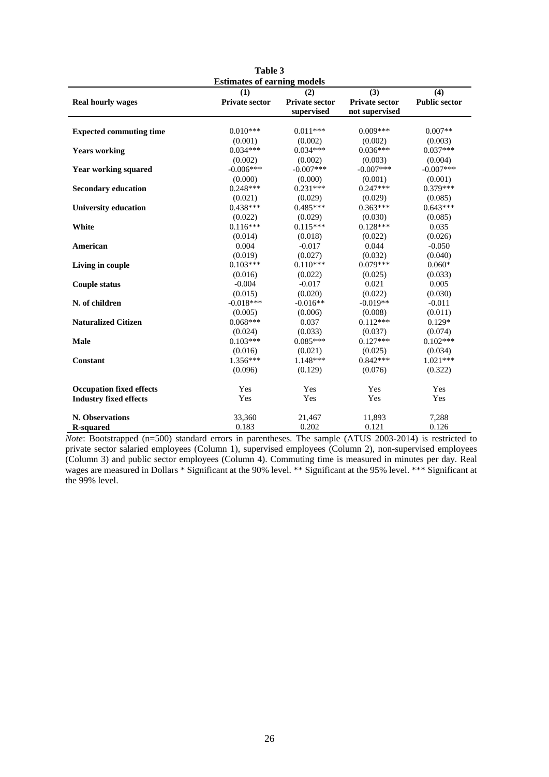|                                 | Table 3                            |                       |                       |                      |
|---------------------------------|------------------------------------|-----------------------|-----------------------|----------------------|
|                                 | <b>Estimates of earning models</b> |                       |                       |                      |
|                                 | (1)                                | (2)                   | (3)                   | (4)                  |
| <b>Real hourly wages</b>        | <b>Private sector</b>              | <b>Private sector</b> | <b>Private sector</b> | <b>Public sector</b> |
|                                 |                                    | supervised            | not supervised        |                      |
|                                 |                                    |                       |                       |                      |
| <b>Expected commuting time</b>  | $0.010***$                         | $0.011***$            | $0.009***$            | $0.007**$            |
|                                 | (0.001)                            | (0.002)               | (0.002)               | (0.003)              |
| <b>Years working</b>            | $0.034***$                         | $0.034***$            | $0.036***$            | $0.037***$           |
|                                 | (0.002)                            | (0.002)               | (0.003)               | (0.004)              |
| <b>Year working squared</b>     | $-0.006***$                        | $-0.007***$           | $-0.007***$           | $-0.007***$          |
|                                 | (0.000)                            | (0.000)               | (0.001)               | (0.001)              |
| <b>Secondary education</b>      | $0.248***$                         | $0.231***$            | $0.247***$            | $0.379***$           |
|                                 | (0.021)                            | (0.029)               | (0.029)               | (0.085)              |
| <b>University education</b>     | $0.438***$                         | $0.485***$            | $0.363***$            | $0.643***$           |
|                                 | (0.022)                            | (0.029)               | (0.030)               | (0.085)              |
| White                           | $0.116***$                         | $0.115***$            | $0.128***$            | 0.035                |
|                                 | (0.014)                            | (0.018)               | (0.022)               | (0.026)              |
| American                        | 0.004                              | $-0.017$              | 0.044                 | $-0.050$             |
|                                 | (0.019)                            | (0.027)               | (0.032)               | (0.040)              |
| Living in couple                | $0.103***$                         | $0.110***$            | $0.079***$            | $0.060*$             |
|                                 | (0.016)                            | (0.022)               | (0.025)               | (0.033)              |
| <b>Couple status</b>            | $-0.004$                           | $-0.017$              | 0.021                 | 0.005                |
|                                 | (0.015)                            | (0.020)               | (0.022)               | (0.030)              |
| N. of children                  | $-0.018***$                        | $-0.016**$            | $-0.019**$            | $-0.011$             |
|                                 | (0.005)                            | (0.006)               | (0.008)               | (0.011)              |
| <b>Naturalized Citizen</b>      | $0.068***$                         | 0.037                 | $0.112***$            | $0.129*$             |
|                                 | (0.024)                            | (0.033)               | (0.037)               | (0.074)              |
| Male                            | $0.103***$                         | $0.085***$            | $0.127***$            | $0.102***$           |
|                                 | (0.016)                            | (0.021)               | (0.025)               | (0.034)              |
| Constant                        | 1.356***                           | $1.148***$            | $0.842***$            | $1.021***$           |
|                                 | (0.096)                            | (0.129)               | (0.076)               | (0.322)              |
| <b>Occupation fixed effects</b> | Yes                                | Yes                   | Yes                   | Yes                  |
| <b>Industry fixed effects</b>   | Yes                                | Yes                   | Yes                   | Yes                  |
| N. Observations                 | 33,360                             | 21,467                | 11,893                | 7,288                |
| <b>R-squared</b>                | 0.183                              | 0.202                 | 0.121                 | 0.126                |

*Note*: Bootstrapped (n=500) standard errors in parentheses. The sample (ATUS 2003-2014) is restricted to private sector salaried employees (Column 1), supervised employees (Column 2), non-supervised employees (Column 3) and public sector employees (Column 4). Commuting time is measured in minutes per day. Real wages are measured in Dollars \* Significant at the 90% level. \*\* Significant at the 95% level. \*\*\* Significant at the 99% level.

26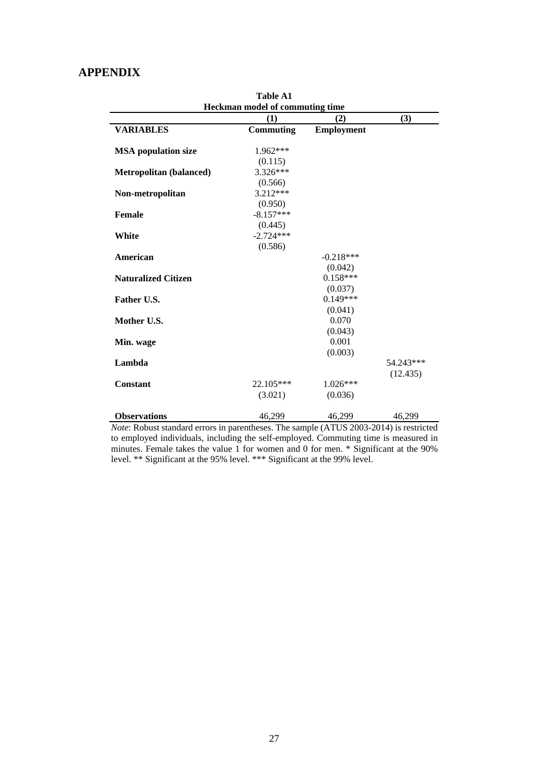### **APPENDIX**

|                                | <b>Table A1</b><br><b>Heckman model of commuting time</b> |                   |           |
|--------------------------------|-----------------------------------------------------------|-------------------|-----------|
|                                | (1)                                                       | (2)               | (3)       |
| <b>VARIABLES</b>               | Commuting                                                 | <b>Employment</b> |           |
| <b>MSA</b> population size     | $1.962***$                                                |                   |           |
|                                | (0.115)                                                   |                   |           |
| <b>Metropolitan (balanced)</b> | 3.326***                                                  |                   |           |
|                                | (0.566)                                                   |                   |           |
| Non-metropolitan               | 3.212***                                                  |                   |           |
|                                | (0.950)                                                   |                   |           |
| <b>Female</b>                  | $-8.157***$                                               |                   |           |
|                                | (0.445)                                                   |                   |           |
| White                          | $-2.724***$                                               |                   |           |
|                                | (0.586)                                                   |                   |           |
| American                       |                                                           | $-0.218***$       |           |
|                                |                                                           | (0.042)           |           |
| <b>Naturalized Citizen</b>     |                                                           | $0.158***$        |           |
|                                |                                                           | (0.037)           |           |
| Father U.S.                    |                                                           | $0.149***$        |           |
|                                |                                                           | (0.041)           |           |
| Mother U.S.                    |                                                           | 0.070             |           |
|                                |                                                           | (0.043)           |           |
| Min. wage                      |                                                           | 0.001             |           |
|                                |                                                           | (0.003)           |           |
| Lambda                         |                                                           |                   | 54.243*** |
|                                |                                                           |                   | (12.435)  |
| <b>Constant</b>                | 22.105***                                                 | $1.026***$        |           |
|                                | (3.021)                                                   | (0.036)           |           |
|                                |                                                           |                   |           |
| <b>Observations</b>            | 46,299                                                    | 46,299            | 46,299    |

*Note*: Robust standard errors in parentheses. The sample (ATUS 2003-2014) is restricted to employed individuals, including the self-employed. Commuting time is measured in minutes. Female takes the value 1 for women and 0 for men. \* Significant at the 90% level. \*\* Significant at the 95% level. \*\*\* Significant at the 99% level.